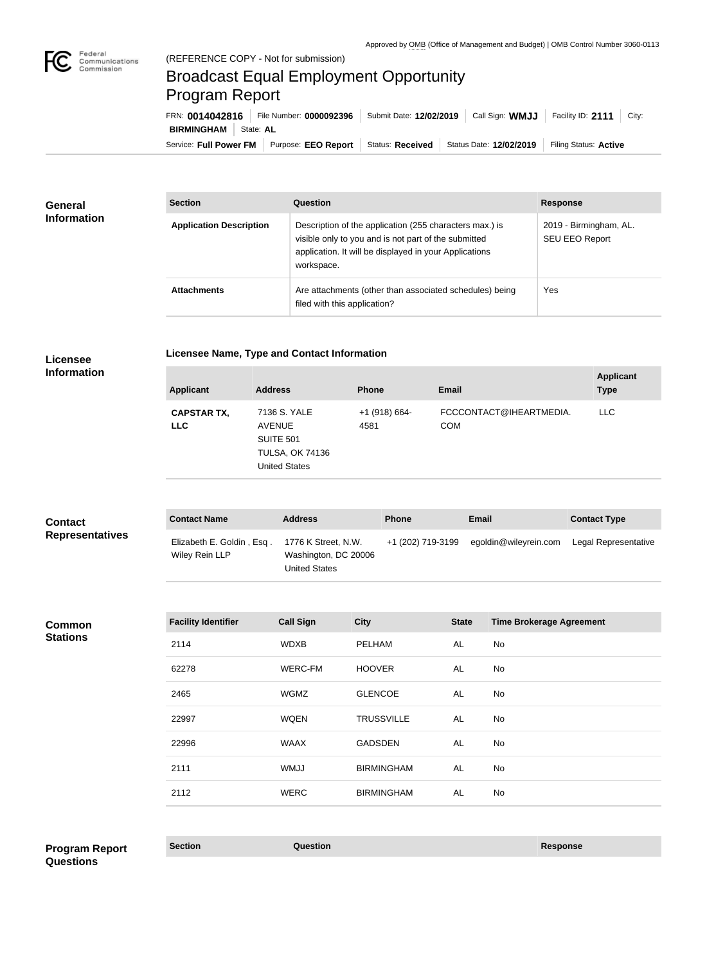

**COL** 

## Broadcast Equal Employment Opportunity Program Report

Service: Full Power FM Purpose: EEO Report | Status: Received | Status Date: 12/02/2019 | Filing Status: Active **BIRMINGHAM** State: AL FRN: **0014042816** File Number: **0000092396** Submit Date: **12/02/2019** Call Sign: **WMJJ** Facility ID: **2111** City:

| General<br><b>Information</b> | <b>Section</b>                 | Question                                                                                                                                                                                | <b>Response</b>                          |
|-------------------------------|--------------------------------|-----------------------------------------------------------------------------------------------------------------------------------------------------------------------------------------|------------------------------------------|
|                               | <b>Application Description</b> | Description of the application (255 characters max.) is<br>visible only to you and is not part of the submitted<br>application. It will be displayed in your Applications<br>workspace. | 2019 - Birmingham, AL.<br>SEU EEO Report |
|                               | <b>Attachments</b>             | Are attachments (other than associated schedules) being<br>filed with this application?                                                                                                 | Yes                                      |

**Licensee** 

**Licensee Name, Type and Contact Information**

|  |  | <b>Information</b> |
|--|--|--------------------|

| <b>Applicant</b>                 | <b>Address</b>                                                                                      | <b>Phone</b>          | <b>Email</b>                          | <b>Applicant</b><br><b>Type</b> |
|----------------------------------|-----------------------------------------------------------------------------------------------------|-----------------------|---------------------------------------|---------------------------------|
| <b>CAPSTAR TX,</b><br><b>LLC</b> | 7136 S. YALE<br><b>AVENUE</b><br><b>SUITE 501</b><br><b>TULSA, OK 74136</b><br><b>United States</b> | +1 (918) 664-<br>4581 | FCCCONTACT@IHEARTMEDIA.<br><b>COM</b> | <b>LLC</b>                      |

| <b>Contact</b>         | <b>Contact Name</b>                         | <b>Address</b>                                                      | <b>Phone</b>      | Email                 | <b>Contact Type</b>  |
|------------------------|---------------------------------------------|---------------------------------------------------------------------|-------------------|-----------------------|----------------------|
| <b>Representatives</b> | Elizabeth E. Goldin, Esq.<br>Wiley Rein LLP | 1776 K Street, N.W.<br>Washington, DC 20006<br><b>United States</b> | +1 (202) 719-3199 | egoldin@wileyrein.com | Legal Representative |

**Common Stations**

| <b>Facility Identifier</b> | <b>Call Sign</b> | <b>City</b>       | <b>State</b> | <b>Time Brokerage Agreement</b> |
|----------------------------|------------------|-------------------|--------------|---------------------------------|
| 2114                       | <b>WDXB</b>      | <b>PELHAM</b>     | AL           | No                              |
| 62278                      | WERC-FM          | <b>HOOVER</b>     | AL           | No                              |
| 2465                       | <b>WGMZ</b>      | <b>GLENCOE</b>    | AL           | No                              |
| 22997                      | <b>WQEN</b>      | <b>TRUSSVILLE</b> | AL           | No                              |
| 22996                      | <b>WAAX</b>      | <b>GADSDEN</b>    | AL           | No                              |
| 2111                       | <b>WMJJ</b>      | <b>BIRMINGHAM</b> | AL           | No                              |
| 2112                       | <b>WERC</b>      | <b>BIRMINGHAM</b> | AL           | No                              |
|                            |                  |                   |              |                                 |

**Section Question Response Program Report Questions**